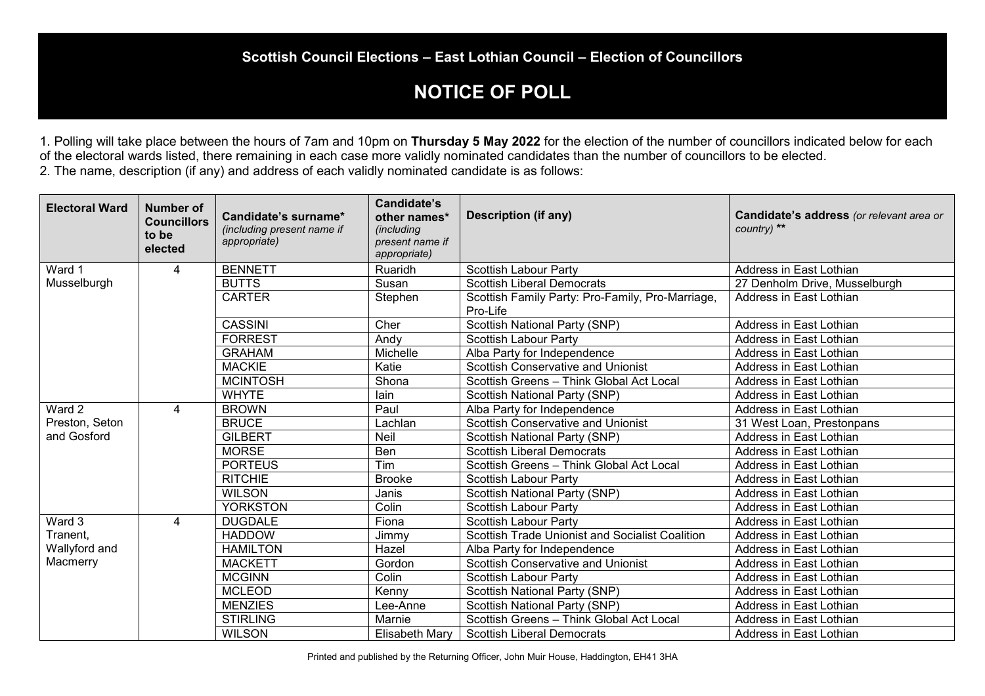## **NOTICE OF POLL**

1. Polling will take place between the hours of 7am and 10pm on **Thursday 5 May 2022** for the election of the number of councillors indicated below for each of the electoral wards listed, there remaining in each case more validly nominated candidates than the number of councillors to be elected. 2. The name, description (if any) and address of each validly nominated candidate is as follows:

| <b>Electoral Ward</b> | <b>Number of</b><br><b>Councillors</b><br>to be<br>elected | Candidate's surname*<br>(including present name if<br>appropriate) | Candidate's<br>other names*<br>(including<br>present name if<br>appropriate) | <b>Description (if any)</b>                                  | Candidate's address (or relevant area or<br>country) ** |
|-----------------------|------------------------------------------------------------|--------------------------------------------------------------------|------------------------------------------------------------------------------|--------------------------------------------------------------|---------------------------------------------------------|
| Ward 1                | 4                                                          | <b>BENNETT</b>                                                     | Ruaridh                                                                      | <b>Scottish Labour Party</b>                                 | Address in East Lothian                                 |
| Musselburgh           |                                                            | <b>BUTTS</b>                                                       | Susan                                                                        | <b>Scottish Liberal Democrats</b>                            | 27 Denholm Drive, Musselburgh                           |
|                       |                                                            | <b>CARTER</b>                                                      | Stephen                                                                      | Scottish Family Party: Pro-Family, Pro-Marriage,<br>Pro-Life | Address in East Lothian                                 |
|                       |                                                            | <b>CASSINI</b>                                                     | Cher                                                                         | Scottish National Party (SNP)                                | Address in East Lothian                                 |
|                       |                                                            | <b>FORREST</b>                                                     | Andy                                                                         | <b>Scottish Labour Party</b>                                 | Address in East Lothian                                 |
|                       |                                                            | <b>GRAHAM</b>                                                      | Michelle                                                                     | Alba Party for Independence                                  | Address in East Lothian                                 |
|                       |                                                            | <b>MACKIE</b>                                                      | Katie                                                                        | <b>Scottish Conservative and Unionist</b>                    | Address in East Lothian                                 |
|                       |                                                            | <b>MCINTOSH</b>                                                    | Shona                                                                        | Scottish Greens - Think Global Act Local                     | Address in East Lothian                                 |
|                       |                                                            | <b>WHYTE</b>                                                       | lain                                                                         | <b>Scottish National Party (SNP)</b>                         | Address in East Lothian                                 |
| Ward 2                | 4                                                          | <b>BROWN</b>                                                       | Paul                                                                         | Alba Party for Independence                                  | Address in East Lothian                                 |
| Preston, Seton        |                                                            | <b>BRUCE</b>                                                       | Lachlan                                                                      | <b>Scottish Conservative and Unionist</b>                    | 31 West Loan, Prestonpans                               |
| and Gosford           |                                                            | <b>GILBERT</b>                                                     | Neil                                                                         | <b>Scottish National Party (SNP)</b>                         | Address in East Lothian                                 |
|                       |                                                            | <b>MORSE</b>                                                       | Ben                                                                          | Scottish Liberal Democrats                                   | Address in East Lothian                                 |
|                       |                                                            | <b>PORTEUS</b>                                                     | Tim                                                                          | Scottish Greens - Think Global Act Local                     | Address in East Lothian                                 |
|                       |                                                            | <b>RITCHIE</b>                                                     | <b>Brooke</b>                                                                | <b>Scottish Labour Party</b>                                 | Address in East Lothian                                 |
|                       |                                                            | <b>WILSON</b>                                                      | Janis                                                                        | Scottish National Party (SNP)                                | Address in East Lothian                                 |
|                       |                                                            | <b>YORKSTON</b>                                                    | Colin                                                                        | <b>Scottish Labour Party</b>                                 | Address in East Lothian                                 |
| Ward 3                | 4                                                          | <b>DUGDALE</b>                                                     | Fiona                                                                        | <b>Scottish Labour Party</b>                                 | Address in East Lothian                                 |
| Tranent,              |                                                            | <b>HADDOW</b>                                                      | Jimmy                                                                        | Scottish Trade Unionist and Socialist Coalition              | Address in East Lothian                                 |
| Wallyford and         |                                                            | <b>HAMILTON</b>                                                    | Hazel                                                                        | Alba Party for Independence                                  | Address in East Lothian                                 |
| Macmerry              |                                                            | <b>MACKETT</b>                                                     | Gordon                                                                       | <b>Scottish Conservative and Unionist</b>                    | Address in East Lothian                                 |
|                       |                                                            | <b>MCGINN</b>                                                      | Colin                                                                        | <b>Scottish Labour Party</b>                                 | Address in East Lothian                                 |
|                       |                                                            | <b>MCLEOD</b>                                                      | Kenny                                                                        | <b>Scottish National Party (SNP)</b>                         | Address in East Lothian                                 |
|                       |                                                            | <b>MENZIES</b>                                                     | Lee-Anne                                                                     | <b>Scottish National Party (SNP)</b>                         | Address in East Lothian                                 |
|                       |                                                            | <b>STIRLING</b>                                                    | Marnie                                                                       | Scottish Greens - Think Global Act Local                     | Address in East Lothian                                 |
|                       |                                                            | <b>WILSON</b>                                                      | Elisabeth Mary                                                               | <b>Scottish Liberal Democrats</b>                            | Address in East Lothian                                 |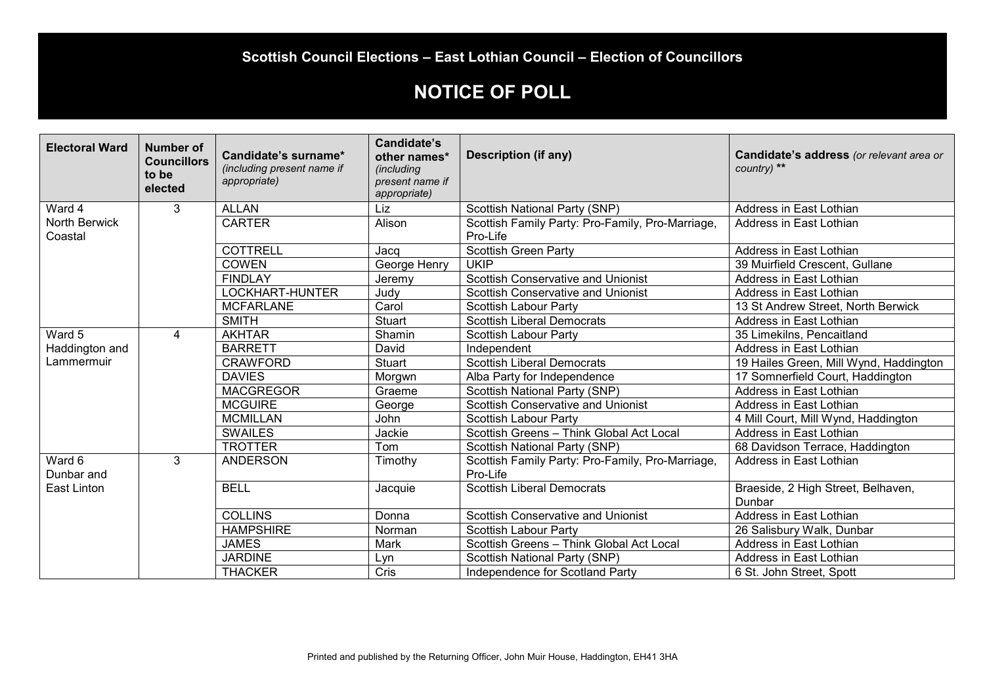#### **Scottish Council Elections – East Lothian Council – Election of Councillors**

# **NOTICE OF POLL**

| <b>Electoral Ward</b>    | <b>Number of</b><br><b>Councillors</b><br>to be<br>elected | Candidate's surname*<br>(including present name if<br>appropriate) | <b>Candidate's</b><br>other names*<br>(including<br>present name if<br>appropriate) | <b>Description (if any)</b>                                  | Candidate's address (or relevant area or<br>country) ** |
|--------------------------|------------------------------------------------------------|--------------------------------------------------------------------|-------------------------------------------------------------------------------------|--------------------------------------------------------------|---------------------------------------------------------|
| Ward 4                   | 3                                                          | <b>ALLAN</b>                                                       | Liz                                                                                 | Scottish National Party (SNP)                                | Address in East Lothian                                 |
| North Berwick<br>Coastal |                                                            | <b>CARTER</b>                                                      | Alison                                                                              | Scottish Family Party: Pro-Family, Pro-Marriage,<br>Pro-Life | Address in East Lothian                                 |
|                          |                                                            | <b>COTTRELL</b>                                                    | Jacq                                                                                | <b>Scottish Green Party</b>                                  | Address in East Lothian                                 |
|                          |                                                            | <b>COWEN</b>                                                       | George Henry                                                                        | <b>UKIP</b>                                                  | 39 Muirfield Crescent, Gullane                          |
|                          |                                                            | <b>FINDLAY</b>                                                     | Jeremy                                                                              | <b>Scottish Conservative and Unionist</b>                    | Address in East Lothian                                 |
|                          |                                                            | LOCKHART-HUNTER                                                    | Judy                                                                                | <b>Scottish Conservative and Unionist</b>                    | Address in East Lothian                                 |
|                          |                                                            | <b>MCFARLANE</b>                                                   | Carol                                                                               | <b>Scottish Labour Party</b>                                 | 13 St Andrew Street, North Berwick                      |
|                          |                                                            | <b>SMITH</b>                                                       | <b>Stuart</b>                                                                       | <b>Scottish Liberal Democrats</b>                            | Address in East Lothian                                 |
| Ward 5                   | 4                                                          | <b>AKHTAR</b>                                                      | Shamin                                                                              | <b>Scottish Labour Party</b>                                 | 35 Limekilns, Pencaitland                               |
| Haddington and           |                                                            | <b>BARRETT</b>                                                     | David                                                                               | Independent                                                  | Address in East Lothian                                 |
| Lammermuir               |                                                            | <b>CRAWFORD</b>                                                    | <b>Stuart</b>                                                                       | <b>Scottish Liberal Democrats</b>                            | 19 Hailes Green, Mill Wynd, Haddington                  |
|                          |                                                            | <b>DAVIES</b>                                                      | Morgwn                                                                              | Alba Party for Independence                                  | 17 Somnerfield Court, Haddington                        |
|                          |                                                            | <b>MACGREGOR</b>                                                   | Graeme                                                                              | <b>Scottish National Party (SNP)</b>                         | Address in East Lothian                                 |
|                          |                                                            | <b>MCGUIRE</b>                                                     | George                                                                              | Scottish Conservative and Unionist                           | Address in East Lothian                                 |
|                          |                                                            | <b>MCMILLAN</b>                                                    | John                                                                                | <b>Scottish Labour Party</b>                                 | 4 Mill Court, Mill Wynd, Haddington                     |
|                          |                                                            | <b>SWAILES</b>                                                     | Jackie                                                                              | Scottish Greens - Think Global Act Local                     | Address in East Lothian                                 |
|                          |                                                            | <b>TROTTER</b>                                                     | Tom                                                                                 | Scottish National Party (SNP)                                | 68 Davidson Terrace, Haddington                         |
| Ward 6<br>Dunbar and     | $\overline{3}$                                             | <b>ANDERSON</b>                                                    | Timothy                                                                             | Scottish Family Party: Pro-Family, Pro-Marriage,<br>Pro-Life | Address in East Lothian                                 |
| East Linton              |                                                            | <b>BELL</b>                                                        | Jacquie                                                                             | <b>Scottish Liberal Democrats</b>                            | Braeside, 2 High Street, Belhaven,<br>Dunbar            |
|                          |                                                            | <b>COLLINS</b>                                                     | Donna                                                                               | <b>Scottish Conservative and Unionist</b>                    | Address in East Lothian                                 |
|                          |                                                            | <b>HAMPSHIRE</b>                                                   | Norman                                                                              | <b>Scottish Labour Party</b>                                 | 26 Salisbury Walk, Dunbar                               |
|                          |                                                            | <b>JAMES</b>                                                       | Mark                                                                                | Scottish Greens - Think Global Act Local                     | Address in East Lothian                                 |
|                          |                                                            | <b>JARDINE</b>                                                     | Lyn                                                                                 | <b>Scottish National Party (SNP)</b>                         | Address in East Lothian                                 |
|                          |                                                            | <b>THACKER</b>                                                     | Cris                                                                                | Independence for Scotland Party                              | 6 St. John Street, Spott                                |